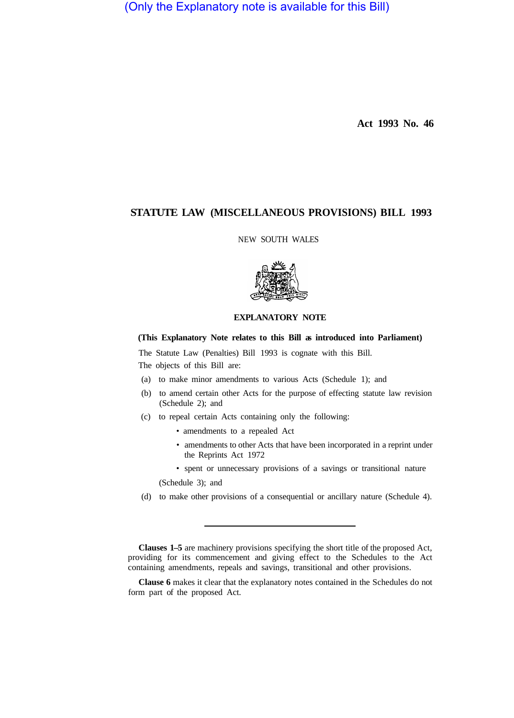(Only the Explanatory note is available for this Bill)

**Act 1993 No. 46** 

# **STATUTE LAW (MISCELLANEOUS PROVISIONS) BILL 1993**

NEW SOUTH WALES



## **EXPLANATORY NOTE**

## **(This Explanatory Note relates to this Bill as introduced into Parliament)**

The Statute Law (Penalties) Bill 1993 is cognate with this Bill. The objects of this Bill are:

- (a) to make minor amendments to various Acts (Schedule 1); and
- (b) to amend certain other Acts for the purpose of effecting statute law revision (Schedule 2); and
- (c) to repeal certain Acts containing only the following:
	- amendments to a repealed Act
	- amendments to other Acts that have been incorporated in a reprint under the Reprints Act 1972

• spent or unnecessary provisions of a savings or transitional nature (Schedule 3); and

(d) to make other provisions of a consequential or ancillary nature (Schedule 4).

**Clauses 1–5** are machinery provisions specifying the short title of the proposed Act, providing for its commencement and giving effect to the Schedules to the Act containing amendments, repeals and savings, transitional and other provisions.

**Clause 6** makes it clear that the explanatory notes contained in the Schedules do not form part of the proposed Act.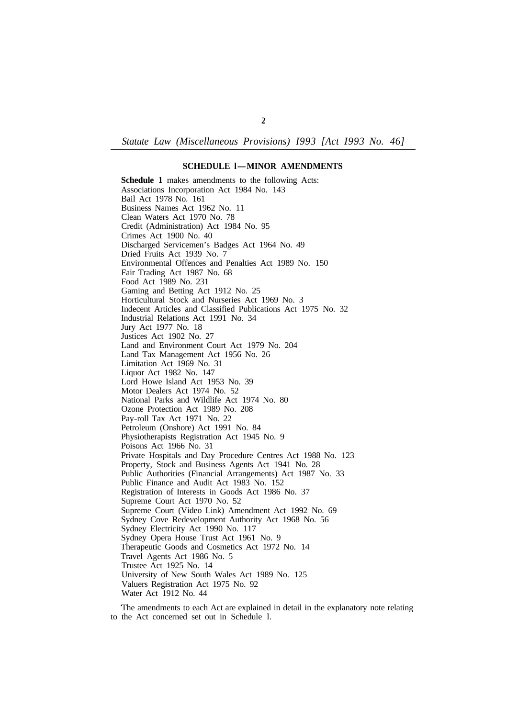*Statute Law (Miscellaneous Provisions) I993 [Act I993 No. 46]* 

#### **SCHEDULE l-MINOR AMENDMENTS**

**Schedule 1** makes amendments to the following Acts: Associations Incorporation Act 1984 No. 143 Bail Act 1978 No. 161 Business Names Act 1962 No. 11 Clean Waters Act 1970 No. 78 Credit (Administration) Act 1984 No. 95 Crimes Act 1900 No. 40 Discharged Servicemen's Badges Act 1964 No. 49 Dried Fruits Act 1939 No. 7 Environmental Offences and Penalties Act 1989 No. 150 Fair Trading Act 1987 No. 68 Food Act 1989 No. 231 Gaming and Betting Act 1912 No. 25 Horticultural Stock and Nurseries Act 1969 No. 3 Indecent Articles and Classified Publications Act 1975 No. 32 Industrial Relations Act 1991 No. 34 Jury Act 1977 No. 18 Justices Act 1902 No. 27 Land and Environment Court Act 1979 No. 204 Land Tax Management Act 1956 No. 26 Limitation Act 1969 No. 31 Liquor Act 1982 No. 147 Lord Howe Island Act 1953 No. 39 Motor Dealers Act 1974 No. 52 National Parks and Wildlife Act 1974 No. 80 Ozone Protection Act 1989 No. 208 Pay-roll Tax Act 1971 No. 22 Petroleum (Onshore) Act 1991 No. 84 Physiotherapists Registration Act 1945 No. 9 Poisons Act 1966 No. 31 Private Hospitals and Day Procedure Centres Act 1988 No. 123 Property, Stock and Business Agents Act 1941 No. 28 Public Authorities (Financial Arrangements) Act 1987 No. 33 Public Finance and Audit Act 1983 No. 152 Registration of Interests in Goods Act 1986 No. 37 Supreme Court Act 1970 No. 52 Supreme Court (Video Link) Amendment Act 1992 No. 69 Sydney Cove Redevelopment Authority Act 1968 No. 56 Sydney Electricity Act 1990 No. 117 Sydney Opera House Trust Act 1961 No. 9 Therapeutic Goods and Cosmetics Act 1972 No. 14 Travel Agents Act 1986 No. 5 Trustee Act 1925 No. 14 University of New South Wales Act 1989 No. 125 Valuers Registration Act 1975 No. 92 Water Act 1912 No. 44

to the Act concerned set out in Schedule l. The amendments to each Act are explained in detail in the explanatory note relating